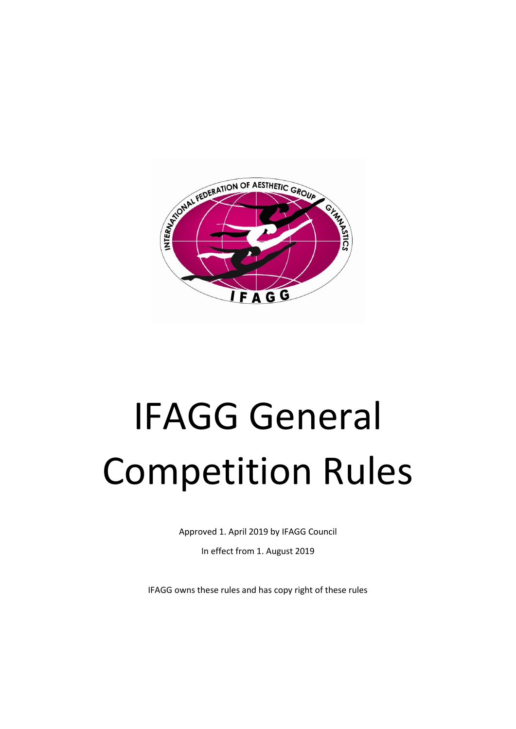

Approved 1. April 2019 by IFAGG Council

In effect from 1. August 2019

IFAGG owns these rules and has copy right of these rules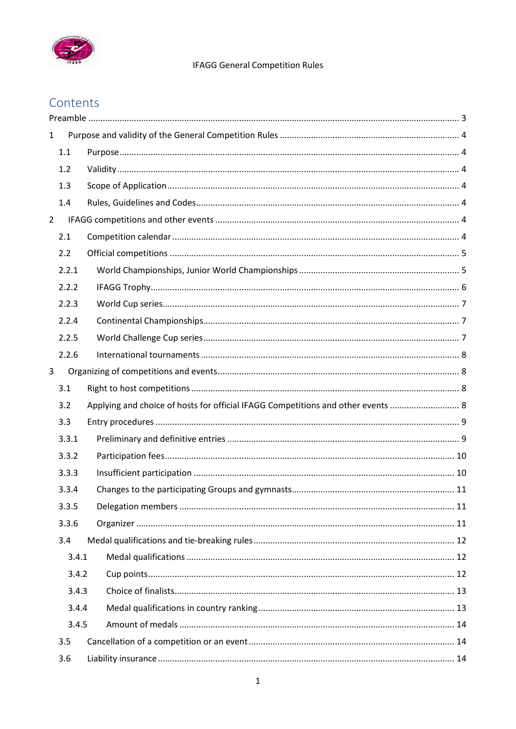

# Contents

| $\mathbf{1}$   |       |                                                                                  |  |
|----------------|-------|----------------------------------------------------------------------------------|--|
|                | 1.1   |                                                                                  |  |
|                | 1.2   |                                                                                  |  |
|                | 1.3   |                                                                                  |  |
|                | 1.4   |                                                                                  |  |
| $\overline{2}$ |       |                                                                                  |  |
|                | 2.1   |                                                                                  |  |
|                | 2.2   |                                                                                  |  |
|                | 2.2.1 |                                                                                  |  |
|                | 2.2.2 |                                                                                  |  |
|                | 2.2.3 |                                                                                  |  |
|                | 2.2.4 |                                                                                  |  |
|                | 2.2.5 |                                                                                  |  |
|                | 2.2.6 |                                                                                  |  |
| 3              |       |                                                                                  |  |
|                | 3.1   |                                                                                  |  |
|                | 3.2   | Applying and choice of hosts for official IFAGG Competitions and other events  8 |  |
|                | 3.3   |                                                                                  |  |
|                | 3.3.1 |                                                                                  |  |
|                | 3.3.2 |                                                                                  |  |
|                | 3.3.3 |                                                                                  |  |
|                | 3.3.4 |                                                                                  |  |
|                | 3.3.5 |                                                                                  |  |
|                | 3.3.6 |                                                                                  |  |
|                | 3.4   |                                                                                  |  |
|                | 3.4.1 |                                                                                  |  |
|                | 3.4.2 |                                                                                  |  |
|                | 3.4.3 |                                                                                  |  |
|                | 3.4.4 |                                                                                  |  |
|                | 3.4.5 |                                                                                  |  |
|                | 3.5   |                                                                                  |  |
|                | 3.6   |                                                                                  |  |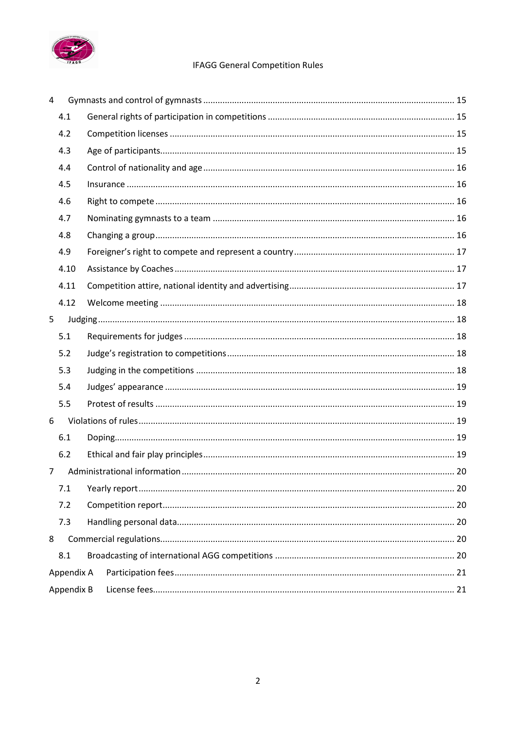

| $\overline{4}$ |            |  |
|----------------|------------|--|
|                | 4.1        |  |
|                | 4.2        |  |
|                | 4.3        |  |
|                | 4.4        |  |
|                | 4.5        |  |
|                | 4.6        |  |
|                | 4.7        |  |
|                | 4.8        |  |
|                | 4.9        |  |
|                | 4.10       |  |
|                | 4.11       |  |
|                | 4.12       |  |
| 5              |            |  |
|                | 5.1        |  |
|                | 5.2        |  |
|                | 5.3        |  |
|                | 5.4        |  |
|                | 5.5        |  |
| 6              |            |  |
|                | 6.1        |  |
|                | 6.2        |  |
| $\overline{7}$ |            |  |
|                | 7.1        |  |
|                | 7.2        |  |
|                | 7.3        |  |
| 8              |            |  |
|                | 8.1        |  |
|                | Appendix A |  |
|                | Appendix B |  |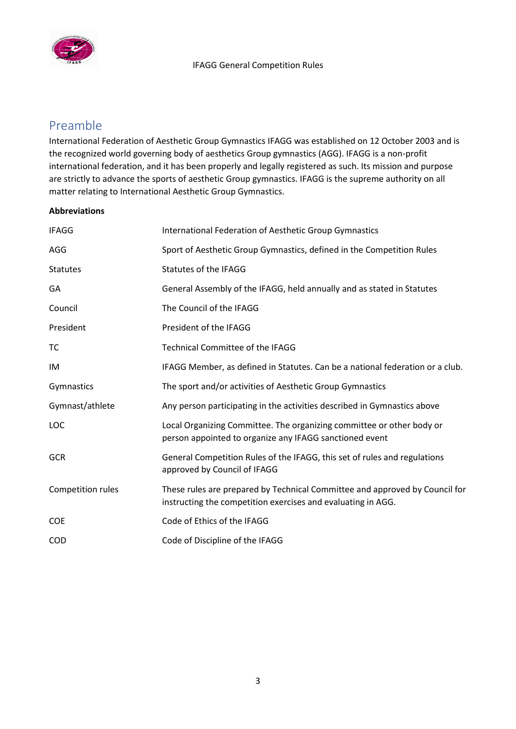

# <span id="page-3-0"></span>Preamble

International Federation of Aesthetic Group Gymnastics IFAGG was established on 12 October 2003 and is the recognized world governing body of aesthetics Group gymnastics (AGG). IFAGG is a non-profit international federation, and it has been properly and legally registered as such. Its mission and purpose are strictly to advance the sports of aesthetic Group gymnastics. IFAGG is the supreme authority on all matter relating to International Aesthetic Group Gymnastics.

#### **Abbreviations**

| <b>IFAGG</b>      | International Federation of Aesthetic Group Gymnastics                                                                                      |
|-------------------|---------------------------------------------------------------------------------------------------------------------------------------------|
| AGG               | Sport of Aesthetic Group Gymnastics, defined in the Competition Rules                                                                       |
| <b>Statutes</b>   | Statutes of the IFAGG                                                                                                                       |
| GA                | General Assembly of the IFAGG, held annually and as stated in Statutes                                                                      |
| Council           | The Council of the IFAGG                                                                                                                    |
| President         | President of the IFAGG                                                                                                                      |
| TC                | <b>Technical Committee of the IFAGG</b>                                                                                                     |
| IM                | IFAGG Member, as defined in Statutes. Can be a national federation or a club.                                                               |
| Gymnastics        | The sport and/or activities of Aesthetic Group Gymnastics                                                                                   |
| Gymnast/athlete   | Any person participating in the activities described in Gymnastics above                                                                    |
| <b>LOC</b>        | Local Organizing Committee. The organizing committee or other body or<br>person appointed to organize any IFAGG sanctioned event            |
| <b>GCR</b>        | General Competition Rules of the IFAGG, this set of rules and regulations<br>approved by Council of IFAGG                                   |
| Competition rules | These rules are prepared by Technical Committee and approved by Council for<br>instructing the competition exercises and evaluating in AGG. |
| <b>COE</b>        | Code of Ethics of the IFAGG                                                                                                                 |
| <b>COD</b>        | Code of Discipline of the IFAGG                                                                                                             |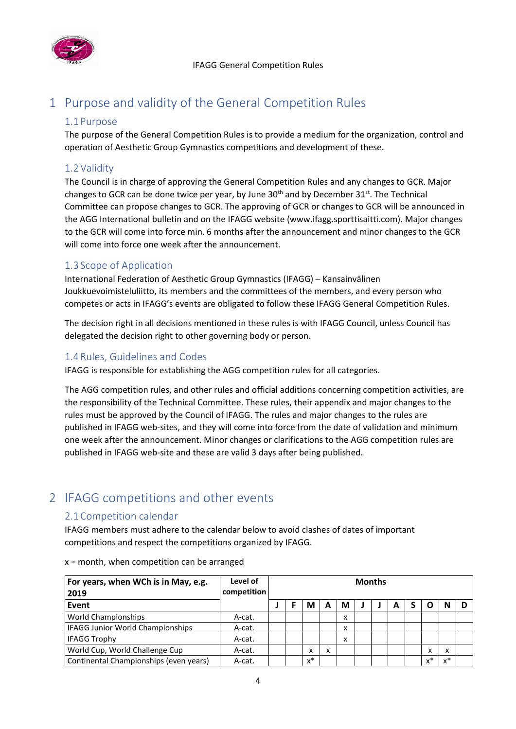

# <span id="page-4-1"></span><span id="page-4-0"></span>1 Purpose and validity of the General Competition Rules

# 1.1 Purpose

The purpose of the General Competition Rules is to provide a medium for the organization, control and operation of Aesthetic Group Gymnastics competitions and development of these.

# <span id="page-4-2"></span>1.2 Validity

The Council is in charge of approving the General Competition Rules and any changes to GCR. Major changes to GCR can be done twice per year, by June 30<sup>th</sup> and by December 31<sup>st</sup>. The Technical Committee can propose changes to GCR. The approving of GCR or changes to GCR will be announced in the AGG International bulletin and on the IFAGG website (www.ifagg.sporttisaitti.com). Major changes to the GCR will come into force min. 6 months after the announcement and minor changes to the GCR will come into force one week after the announcement.

# <span id="page-4-3"></span>1.3 Scope of Application

International Federation of Aesthetic Group Gymnastics (IFAGG) – Kansainvälinen Joukkuevoimisteluliitto, its members and the committees of the members, and every person who competes or acts in IFAGG's events are obligated to follow these IFAGG General Competition Rules.

The decision right in all decisions mentioned in these rules is with IFAGG Council, unless Council has delegated the decision right to other governing body or person.

# <span id="page-4-4"></span>1.4Rules, Guidelines and Codes

IFAGG is responsible for establishing the AGG competition rules for all categories.

The AGG competition rules, and other rules and official additions concerning competition activities, are the responsibility of the Technical Committee. These rules, their appendix and major changes to the rules must be approved by the Council of IFAGG. The rules and major changes to the rules are published in IFAGG web-sites, and they will come into force from the date of validation and minimum one week after the announcement. Minor changes or clarifications to the AGG competition rules are published in IFAGG web-site and these are valid 3 days after being published.

# <span id="page-4-6"></span><span id="page-4-5"></span>2 IFAGG competitions and other events

# 2.1Competition calendar

IFAGG members must adhere to the calendar below to avoid clashes of dates of important competitions and respect the competitions organized by IFAGG.

| For years, when WCh is in May, e.g.<br>2019 | Level of<br>competition | <b>Months</b> |       |   |   |  |  |   |  |                   |       |  |
|---------------------------------------------|-------------------------|---------------|-------|---|---|--|--|---|--|-------------------|-------|--|
| Event                                       |                         |               | М     | А | М |  |  | A |  |                   | N     |  |
| World Championships                         | A-cat.                  |               |       |   | x |  |  |   |  |                   |       |  |
| <b>IFAGG Junior World Championships</b>     | A-cat.                  |               |       |   | X |  |  |   |  |                   |       |  |
| <b>IFAGG Trophy</b>                         | A-cat.                  |               |       |   | X |  |  |   |  |                   |       |  |
| World Cup, World Challenge Cup              | A-cat.                  |               | x     | x |   |  |  |   |  | $\checkmark$<br>⋏ | x     |  |
| Continental Championships (even years)      | A-cat.                  |               | $x^*$ |   |   |  |  |   |  | $\mathbf{v}^*$    | $x^*$ |  |

x = month, when competition can be arranged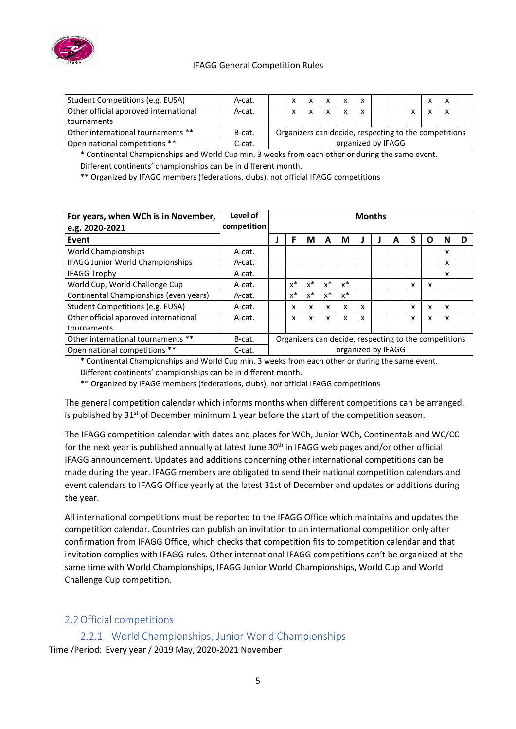

| Student Competitions (e.g. EUSA)                                                                      | A-cat. |                    | x            |  | X |              |              |  | $\checkmark$ | x |  |
|-------------------------------------------------------------------------------------------------------|--------|--------------------|--------------|--|---|--------------|--------------|--|--------------|---|--|
| Other official approved international                                                                 | A-cat. |                    | $\checkmark$ |  | X | $\mathsf{x}$ | $\mathsf{x}$ |  |              | x |  |
| tournaments                                                                                           |        |                    |              |  |   |              |              |  |              |   |  |
| Other international tournaments **<br>Organizers can decide, respecting to the competitions<br>B-cat. |        |                    |              |  |   |              |              |  |              |   |  |
| Open national competitions **                                                                         | C-cat. | organized by IFAGG |              |  |   |              |              |  |              |   |  |

\* Continental Championships and World Cup min. 3 weeks from each other or during the same event. Different continents' championships can be in different month.

\*\* Organized by IFAGG members (federations, clubs), not official IFAGG competitions

| For years, when WCh is in November,<br>e.g. 2020-2021 | Level of<br>competition |                    | <b>Months</b>                                         |       |       |       |   |  |   |   |   |   |  |
|-------------------------------------------------------|-------------------------|--------------------|-------------------------------------------------------|-------|-------|-------|---|--|---|---|---|---|--|
| Event                                                 |                         |                    | F                                                     | М     | A     | М     |   |  | A |   | O | N |  |
| <b>World Championships</b>                            | A-cat.                  |                    |                                                       |       |       |       |   |  |   |   |   | x |  |
| IFAGG Junior World Championships                      | A-cat.                  |                    |                                                       |       |       |       |   |  |   |   |   | x |  |
| <b>IFAGG Trophy</b>                                   | A-cat.                  |                    |                                                       |       |       |       |   |  |   |   |   | x |  |
| World Cup, World Challenge Cup                        | A-cat.                  |                    | $x^*$                                                 | $x^*$ | $x^*$ | $x^*$ |   |  |   | x | x |   |  |
| Continental Championships (even years)                | A-cat.                  |                    | $x^*$                                                 | $x^*$ | $x^*$ | $x^*$ |   |  |   |   |   |   |  |
| Student Competitions (e.g. EUSA)                      | A-cat.                  |                    | x                                                     | x     | x     | x     | x |  |   | x | x | x |  |
| Other official approved international                 | A-cat.                  |                    | x                                                     | x     | x     | x     | x |  |   | x | x | x |  |
| tournaments                                           |                         |                    |                                                       |       |       |       |   |  |   |   |   |   |  |
| Other international tournaments **                    | B-cat.                  |                    | Organizers can decide, respecting to the competitions |       |       |       |   |  |   |   |   |   |  |
| Open national competitions **                         | C-cat.                  | organized by IFAGG |                                                       |       |       |       |   |  |   |   |   |   |  |

\* Continental Championships and World Cup min. 3 weeks from each other or during the same event. Different continents' championships can be in different month.

\*\* Organized by IFAGG members (federations, clubs), not official IFAGG competitions

The general competition calendar which informs months when different competitions can be arranged, is published by  $31^{st}$  of December minimum 1 year before the start of the competition season.

The IFAGG competition calendar with dates and places for WCh, Junior WCh, Continentals and WC/CC for the next year is published annually at latest June 30<sup>th</sup> in IFAGG web pages and/or other official IFAGG announcement. Updates and additions concerning other international competitions can be made during the year. IFAGG members are obligated to send their national competition calendars and event calendars to IFAGG Office yearly at the latest 31st of December and updates or additions during the year.

All international competitions must be reported to the IFAGG Office which maintains and updates the competition calendar. Countries can publish an invitation to an international competition only after confirmation from IFAGG Office, which checks that competition fits to competition calendar and that invitation complies with IFAGG rules. Other international IFAGG competitions can't be organized at the same time with World Championships, IFAGG Junior World Championships, World Cup and World Challenge Cup competition.

# <span id="page-5-0"></span>2.2Official competitions

<span id="page-5-1"></span>2.2.1 World Championships, Junior World Championships Time /Period: Every year / 2019 May, 2020-2021 November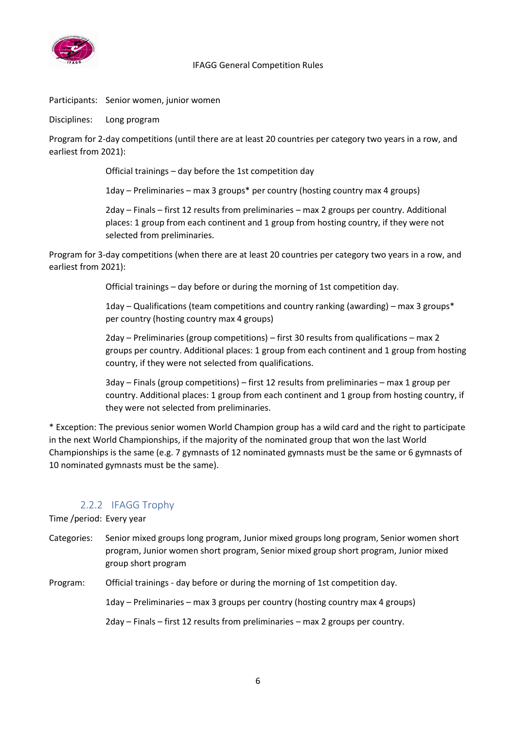

Participants: Senior women, junior women

Disciplines: Long program

Program for 2-day competitions (until there are at least 20 countries per category two years in a row, and earliest from 2021):

Official trainings – day before the 1st competition day

1day – Preliminaries – max 3 groups\* per country (hosting country max 4 groups)

2day – Finals – first 12 results from preliminaries – max 2 groups per country. Additional places: 1 group from each continent and 1 group from hosting country, if they were not selected from preliminaries.

Program for 3-day competitions (when there are at least 20 countries per category two years in a row, and earliest from 2021):

Official trainings – day before or during the morning of 1st competition day.

1day – Qualifications (team competitions and country ranking (awarding) – max 3 groups\* per country (hosting country max 4 groups)

2day – Preliminaries (group competitions) – first 30 results from qualifications – max 2 groups per country. Additional places: 1 group from each continent and 1 group from hosting country, if they were not selected from qualifications.

3day – Finals (group competitions) – first 12 results from preliminaries – max 1 group per country. Additional places: 1 group from each continent and 1 group from hosting country, if they were not selected from preliminaries.

\* Exception: The previous senior women World Champion group has a wild card and the right to participate in the next World Championships, if the majority of the nominated group that won the last World Championships is the same (e.g. 7 gymnasts of 12 nominated gymnasts must be the same or 6 gymnasts of 10 nominated gymnasts must be the same).

# 2.2.2 IFAGG Trophy

<span id="page-6-0"></span>Time /period: Every year

Categories: Senior mixed groups long program, Junior mixed groups long program, Senior women short program, Junior women short program, Senior mixed group short program, Junior mixed group short program

Program: Official trainings - day before or during the morning of 1st competition day.

1day – Preliminaries – max 3 groups per country (hosting country max 4 groups)

2day – Finals – first 12 results from preliminaries – max 2 groups per country.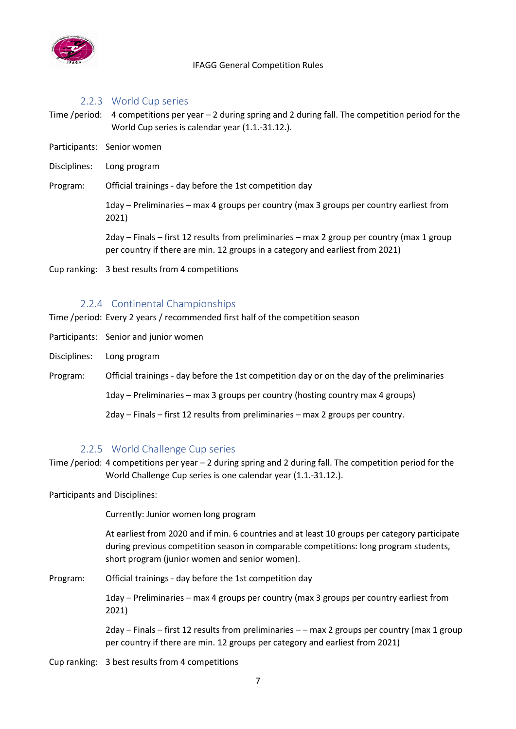

#### 2.2.3 World Cup series

- <span id="page-7-0"></span>Time /period: 4 competitions per year – 2 during spring and 2 during fall. The competition period for the World Cup series is calendar year (1.1.-31.12.).
- Participants: Senior women
- Disciplines: Long program
- Program: Official trainings day before the 1st competition day

1day – Preliminaries – max 4 groups per country (max 3 groups per country earliest from 2021)

2day – Finals – first 12 results from preliminaries – max 2 group per country (max 1 group per country if there are min. 12 groups in a category and earliest from 2021)

Cup ranking: 3 best results from 4 competitions

#### 2.2.4 Continental Championships

<span id="page-7-1"></span>Time /period: Every 2 years / recommended first half of the competition season

- Participants: Senior and junior women
- Disciplines: Long program
- Program: Official trainings day before the 1st competition day or on the day of the preliminaries

1day – Preliminaries – max 3 groups per country (hosting country max 4 groups)

2day – Finals – first 12 results from preliminaries – max 2 groups per country.

#### 2.2.5 World Challenge Cup series

<span id="page-7-2"></span>Time /period: 4 competitions per year – 2 during spring and 2 during fall. The competition period for the World Challenge Cup series is one calendar year (1.1.-31.12.).

Participants and Disciplines:

Currently: Junior women long program

At earliest from 2020 and if min. 6 countries and at least 10 groups per category participate during previous competition season in comparable competitions: long program students, short program (junior women and senior women).

Program: Official trainings - day before the 1st competition day

1day – Preliminaries – max 4 groups per country (max 3 groups per country earliest from 2021)

2day – Finals – first 12 results from preliminaries – – max 2 groups per country (max 1 group per country if there are min. 12 groups per category and earliest from 2021)

Cup ranking: 3 best results from 4 competitions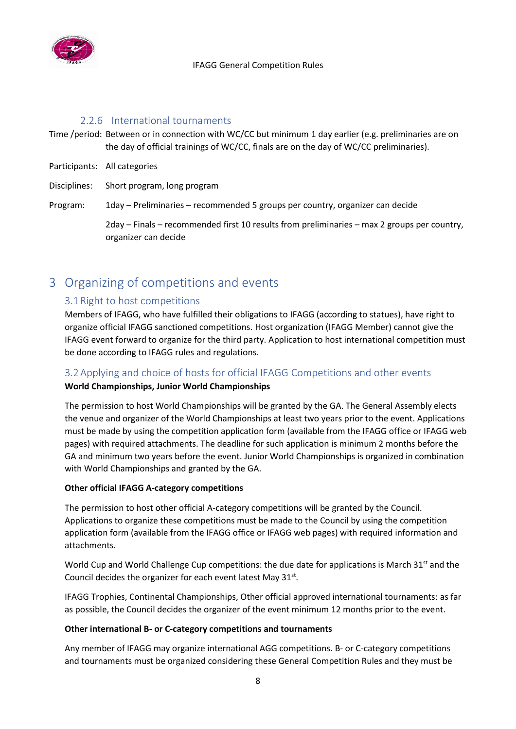

#### 2.2.6 International tournaments

- <span id="page-8-0"></span>Time /period: Between or in connection with WC/CC but minimum 1 day earlier (e.g. preliminaries are on the day of official trainings of WC/CC, finals are on the day of WC/CC preliminaries).
- Participants: All categories

Disciplines: Short program, long program

Program: 1day – Preliminaries – recommended 5 groups per country, organizer can decide

2day – Finals – recommended first 10 results from preliminaries – max 2 groups per country, organizer can decide

# <span id="page-8-2"></span><span id="page-8-1"></span>3 Organizing of competitions and events

# 3.1Right to host competitions

Members of IFAGG, who have fulfilled their obligations to IFAGG (according to statues), have right to organize official IFAGG sanctioned competitions. Host organization (IFAGG Member) cannot give the IFAGG event forward to organize for the third party. Application to host international competition must be done according to IFAGG rules and regulations.

# <span id="page-8-3"></span>3.2Applying and choice of hosts for official IFAGG Competitions and other events

#### **World Championships, Junior World Championships**

The permission to host World Championships will be granted by the GA. The General Assembly elects the venue and organizer of the World Championships at least two years prior to the event. Applications must be made by using the competition application form (available from the IFAGG office or IFAGG web pages) with required attachments. The deadline for such application is minimum 2 months before the GA and minimum two years before the event. Junior World Championships is organized in combination with World Championships and granted by the GA.

#### **Other official IFAGG A-category competitions**

The permission to host other official A-category competitions will be granted by the Council. Applications to organize these competitions must be made to the Council by using the competition application form (available from the IFAGG office or IFAGG web pages) with required information and attachments.

World Cup and World Challenge Cup competitions: the due date for applications is March 31<sup>st</sup> and the Council decides the organizer for each event latest May  $31^{st}$ .

IFAGG Trophies, Continental Championships, Other official approved international tournaments: as far as possible, the Council decides the organizer of the event minimum 12 months prior to the event.

#### **Other international B- or C-category competitions and tournaments**

Any member of IFAGG may organize international AGG competitions. B- or C-category competitions and tournaments must be organized considering these General Competition Rules and they must be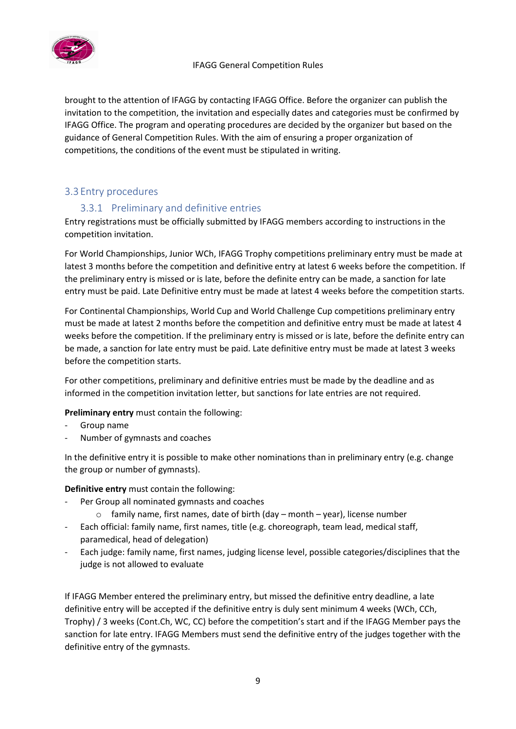

brought to the attention of IFAGG by contacting IFAGG Office. Before the organizer can publish the invitation to the competition, the invitation and especially dates and categories must be confirmed by IFAGG Office. The program and operating procedures are decided by the organizer but based on the guidance of General Competition Rules. With the aim of ensuring a proper organization of competitions, the conditions of the event must be stipulated in writing.

# <span id="page-9-1"></span><span id="page-9-0"></span>3.3 Entry procedures

# 3.3.1 Preliminary and definitive entries

Entry registrations must be officially submitted by IFAGG members according to instructions in the competition invitation.

For World Championships, Junior WCh, IFAGG Trophy competitions preliminary entry must be made at latest 3 months before the competition and definitive entry at latest 6 weeks before the competition. If the preliminary entry is missed or is late, before the definite entry can be made, a sanction for late entry must be paid. Late Definitive entry must be made at latest 4 weeks before the competition starts.

For Continental Championships, World Cup and World Challenge Cup competitions preliminary entry must be made at latest 2 months before the competition and definitive entry must be made at latest 4 weeks before the competition. If the preliminary entry is missed or is late, before the definite entry can be made, a sanction for late entry must be paid. Late definitive entry must be made at latest 3 weeks before the competition starts.

For other competitions, preliminary and definitive entries must be made by the deadline and as informed in the competition invitation letter, but sanctions for late entries are not required.

**Preliminary entry** must contain the following:

- Group name
- Number of gymnasts and coaches

In the definitive entry it is possible to make other nominations than in preliminary entry (e.g. change the group or number of gymnasts).

**Definitive entry** must contain the following:

- Per Group all nominated gymnasts and coaches
	- $\circ$  family name, first names, date of birth (day month year), license number
- Each official: family name, first names, title (e.g. choreograph, team lead, medical staff, paramedical, head of delegation)
- Each judge: family name, first names, judging license level, possible categories/disciplines that the judge is not allowed to evaluate

If IFAGG Member entered the preliminary entry, but missed the definitive entry deadline, a late definitive entry will be accepted if the definitive entry is duly sent minimum 4 weeks (WCh, CCh, Trophy) / 3 weeks (Cont.Ch, WC, CC) before the competition's start and if the IFAGG Member pays the sanction for late entry. IFAGG Members must send the definitive entry of the judges together with the definitive entry of the gymnasts.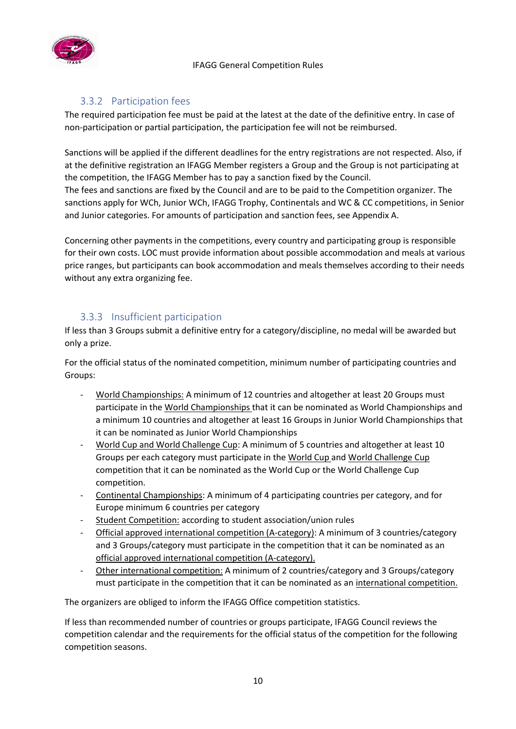

# 3.3.2 Participation fees

<span id="page-10-0"></span>The required participation fee must be paid at the latest at the date of the definitive entry. In case of non-participation or partial participation, the participation fee will not be reimbursed.

Sanctions will be applied if the different deadlines for the entry registrations are not respected. Also, if at the definitive registration an IFAGG Member registers a Group and the Group is not participating at the competition, the IFAGG Member has to pay a sanction fixed by the Council.

The fees and sanctions are fixed by the Council and are to be paid to the Competition organizer. The sanctions apply for WCh, Junior WCh, IFAGG Trophy, Continentals and WC & CC competitions, in Senior and Junior categories. For amounts of participation and sanction fees, see Appendix A.

Concerning other payments in the competitions, every country and participating group is responsible for their own costs. LOC must provide information about possible accommodation and meals at various price ranges, but participants can book accommodation and meals themselves according to their needs without any extra organizing fee.

# 3.3.3 Insufficient participation

<span id="page-10-1"></span>If less than 3 Groups submit a definitive entry for a category/discipline, no medal will be awarded but only a prize.

For the official status of the nominated competition, minimum number of participating countries and Groups:

- World Championships: A minimum of 12 countries and altogether at least 20 Groups must participate in the World Championships that it can be nominated as World Championships and a minimum 10 countries and altogether at least 16 Groups in Junior World Championships that it can be nominated as Junior World Championships
- World Cup and World Challenge Cup: A minimum of 5 countries and altogether at least 10 Groups per each category must participate in the World Cup and World Challenge Cup competition that it can be nominated as the World Cup or the World Challenge Cup competition.
- Continental Championships: A minimum of 4 participating countries per category, and for Europe minimum 6 countries per category
- Student Competition: according to student association/union rules
- Official approved international competition (A-category): A minimum of 3 countries/category and 3 Groups/category must participate in the competition that it can be nominated as an official approved international competition (A-category).
- Other international competition: A minimum of 2 countries/category and 3 Groups/category must participate in the competition that it can be nominated as an international competition.

The organizers are obliged to inform the IFAGG Office competition statistics.

If less than recommended number of countries or groups participate, IFAGG Council reviews the competition calendar and the requirements for the official status of the competition for the following competition seasons.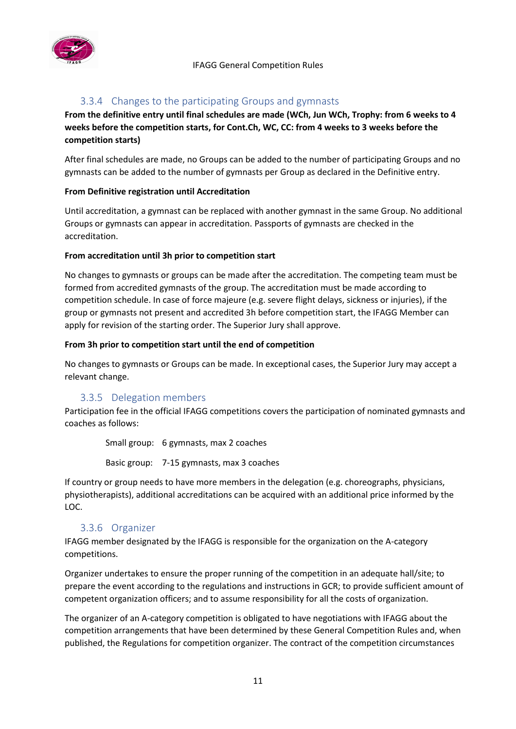

# 3.3.4 Changes to the participating Groups and gymnasts

<span id="page-11-0"></span>**From the definitive entry until final schedules are made (WCh, Jun WCh, Trophy: from 6 weeks to 4 weeks before the competition starts, for Cont.Ch, WC, CC: from 4 weeks to 3 weeks before the competition starts)**

After final schedules are made, no Groups can be added to the number of participating Groups and no gymnasts can be added to the number of gymnasts per Group as declared in the Definitive entry.

#### **From Definitive registration until Accreditation**

Until accreditation, a gymnast can be replaced with another gymnast in the same Group. No additional Groups or gymnasts can appear in accreditation. Passports of gymnasts are checked in the accreditation.

#### **From accreditation until 3h prior to competition start**

No changes to gymnasts or groups can be made after the accreditation. The competing team must be formed from accredited gymnasts of the group. The accreditation must be made according to competition schedule. In case of force majeure (e.g. severe flight delays, sickness or injuries), if the group or gymnasts not present and accredited 3h before competition start, the IFAGG Member can apply for revision of the starting order. The Superior Jury shall approve.

#### **From 3h prior to competition start until the end of competition**

No changes to gymnasts or Groups can be made. In exceptional cases, the Superior Jury may accept a relevant change.

# 3.3.5 Delegation members

<span id="page-11-1"></span>Participation fee in the official IFAGG competitions covers the participation of nominated gymnasts and coaches as follows:

Small group: 6 gymnasts, max 2 coaches

Basic group: 7-15 gymnasts, max 3 coaches

If country or group needs to have more members in the delegation (e.g. choreographs, physicians, physiotherapists), additional accreditations can be acquired with an additional price informed by the LOC.

# 3.3.6 Organizer

<span id="page-11-2"></span>IFAGG member designated by the IFAGG is responsible for the organization on the A-category competitions.

Organizer undertakes to ensure the proper running of the competition in an adequate hall/site; to prepare the event according to the regulations and instructions in GCR; to provide sufficient amount of competent organization officers; and to assume responsibility for all the costs of organization.

The organizer of an A-category competition is obligated to have negotiations with IFAGG about the competition arrangements that have been determined by these General Competition Rules and, when published, the Regulations for competition organizer. The contract of the competition circumstances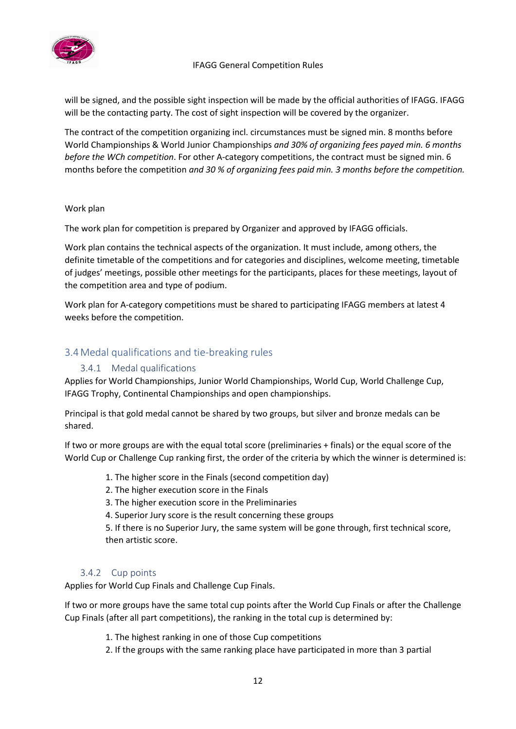

will be signed, and the possible sight inspection will be made by the official authorities of IFAGG. IFAGG will be the contacting party. The cost of sight inspection will be covered by the organizer.

The contract of the competition organizing incl. circumstances must be signed min. 8 months before World Championships & World Junior Championships *and 30% of organizing fees payed min. 6 months before the WCh competition*. For other A-category competitions, the contract must be signed min. 6 months before the competition *and 30 % of organizing fees paid min. 3 months before the competition.*

#### Work plan

The work plan for competition is prepared by Organizer and approved by IFAGG officials.

Work plan contains the technical aspects of the organization. It must include, among others, the definite timetable of the competitions and for categories and disciplines, welcome meeting, timetable of judges' meetings, possible other meetings for the participants, places for these meetings, layout of the competition area and type of podium.

Work plan for A-category competitions must be shared to participating IFAGG members at latest 4 weeks before the competition.

# <span id="page-12-1"></span><span id="page-12-0"></span>3.4Medal qualifications and tie-breaking rules

# 3.4.1 Medal qualifications

Applies for World Championships, Junior World Championships, World Cup, World Challenge Cup, IFAGG Trophy, Continental Championships and open championships.

Principal is that gold medal cannot be shared by two groups, but silver and bronze medals can be shared.

If two or more groups are with the equal total score (preliminaries + finals) or the equal score of the World Cup or Challenge Cup ranking first, the order of the criteria by which the winner is determined is:

#### 1. The higher score in the Finals (second competition day)

- 2. The higher execution score in the Finals
- 3. The higher execution score in the Preliminaries
- 4. Superior Jury score is the result concerning these groups

5. If there is no Superior Jury, the same system will be gone through, first technical score, then artistic score.

#### 3.4.2 Cup points

<span id="page-12-2"></span>Applies for World Cup Finals and Challenge Cup Finals.

If two or more groups have the same total cup points after the World Cup Finals or after the Challenge Cup Finals (after all part competitions), the ranking in the total cup is determined by:

- 1. The highest ranking in one of those Cup competitions
- 2. If the groups with the same ranking place have participated in more than 3 partial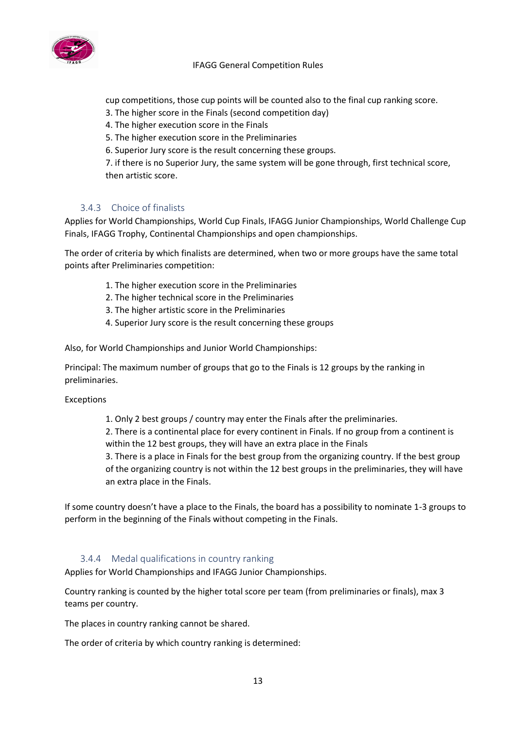

cup competitions, those cup points will be counted also to the final cup ranking score.

- 3. The higher score in the Finals (second competition day)
- 4. The higher execution score in the Finals
- 5. The higher execution score in the Preliminaries
- 6. Superior Jury score is the result concerning these groups.

7. if there is no Superior Jury, the same system will be gone through, first technical score, then artistic score.

#### 3.4.3 Choice of finalists

<span id="page-13-0"></span>Applies for World Championships, World Cup Finals, IFAGG Junior Championships, World Challenge Cup Finals, IFAGG Trophy, Continental Championships and open championships.

The order of criteria by which finalists are determined, when two or more groups have the same total points after Preliminaries competition:

- 1. The higher execution score in the Preliminaries
- 2. The higher technical score in the Preliminaries
- 3. The higher artistic score in the Preliminaries
- 4. Superior Jury score is the result concerning these groups

Also, for World Championships and Junior World Championships:

Principal: The maximum number of groups that go to the Finals is 12 groups by the ranking in preliminaries.

#### Exceptions

1. Only 2 best groups / country may enter the Finals after the preliminaries.

2. There is a continental place for every continent in Finals. If no group from a continent is within the 12 best groups, they will have an extra place in the Finals

3. There is a place in Finals for the best group from the organizing country. If the best group of the organizing country is not within the 12 best groups in the preliminaries, they will have an extra place in the Finals.

If some country doesn't have a place to the Finals, the board has a possibility to nominate 1-3 groups to perform in the beginning of the Finals without competing in the Finals.

#### 3.4.4 Medal qualifications in country ranking

<span id="page-13-1"></span>Applies for World Championships and IFAGG Junior Championships.

Country ranking is counted by the higher total score per team (from preliminaries or finals), max 3 teams per country.

The places in country ranking cannot be shared.

The order of criteria by which country ranking is determined: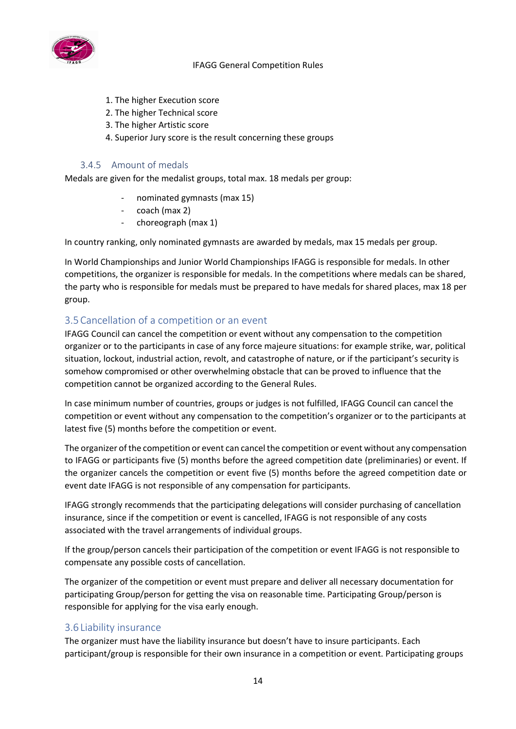

- 1. The higher Execution score
- 2. The higher Technical score
- 3. The higher Artistic score
- 4. Superior Jury score is the result concerning these groups

#### 3.4.5 Amount of medals

<span id="page-14-0"></span>Medals are given for the medalist groups, total max. 18 medals per group:

- nominated gymnasts (max 15)
- coach (max 2)
- choreograph (max 1)

In country ranking, only nominated gymnasts are awarded by medals, max 15 medals per group.

In World Championships and Junior World Championships IFAGG is responsible for medals. In other competitions, the organizer is responsible for medals. In the competitions where medals can be shared, the party who is responsible for medals must be prepared to have medals for shared places, max 18 per group.

# <span id="page-14-1"></span>3.5Cancellation of a competition or an event

IFAGG Council can cancel the competition or event without any compensation to the competition organizer or to the participants in case of any force majeure situations: for example strike, war, political situation, lockout, industrial action, revolt, and catastrophe of nature, or if the participant's security is somehow compromised or other overwhelming obstacle that can be proved to influence that the competition cannot be organized according to the General Rules.

In case minimum number of countries, groups or judges is not fulfilled, IFAGG Council can cancel the competition or event without any compensation to the competition's organizer or to the participants at latest five (5) months before the competition or event.

The organizer of the competition or event can cancel the competition or event without any compensation to IFAGG or participants five (5) months before the agreed competition date (preliminaries) or event. If the organizer cancels the competition or event five (5) months before the agreed competition date or event date IFAGG is not responsible of any compensation for participants.

IFAGG strongly recommends that the participating delegations will consider purchasing of cancellation insurance, since if the competition or event is cancelled, IFAGG is not responsible of any costs associated with the travel arrangements of individual groups.

If the group/person cancels their participation of the competition or event IFAGG is not responsible to compensate any possible costs of cancellation.

The organizer of the competition or event must prepare and deliver all necessary documentation for participating Group/person for getting the visa on reasonable time. Participating Group/person is responsible for applying for the visa early enough.

# <span id="page-14-2"></span>3.6 Liability insurance

The organizer must have the liability insurance but doesn't have to insure participants. Each participant/group is responsible for their own insurance in a competition or event. Participating groups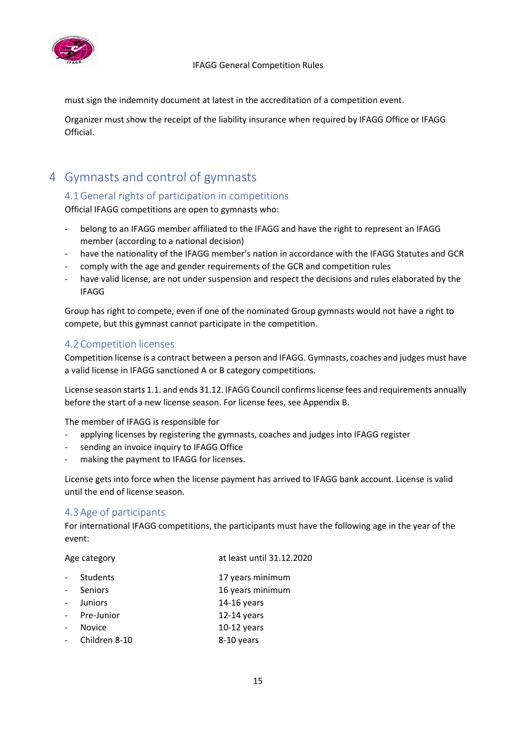

must sign the indemnity document at latest in the accreditation of a competition event.

Organizer must show the receipt of the liability insurance when required by IFAGG Office or IFAGG **Official** 

# <span id="page-15-1"></span><span id="page-15-0"></span>4 Gymnasts and control of gymnasts

# 4.1General rights of participation in competitions

Official IFAGG competitions are open to gymnasts who:

- belong to an IFAGG member affiliated to the IFAGG and have the right to represent an IFAGG member (according to a national decision)
- have the nationality of the IFAGG member's nation in accordance with the IFAGG Statutes and GCR
- comply with the age and gender requirements of the GCR and competition rules
- have valid license, are not under suspension and respect the decisions and rules elaborated by the IFAGG

Group has right to compete, even if one of the nominated Group gymnasts would not have a right to compete, but this gymnast cannot participate in the competition.

# <span id="page-15-2"></span>4.2Competition licenses

Competition license is a contract between a person and IFAGG. Gymnasts, coaches and judges must have a valid license in IFAGG sanctioned A or B category competitions.

License season starts 1.1. and ends 31.12. IFAGG Council confirms license fees and requirements annually before the start of a new license season. For license fees, see Appendix B.

The member of IFAGG is responsible for

- applying licenses by registering the gymnasts, coaches and judges into IFAGG register
- sending an invoice inquiry to IFAGG Office
- making the payment to IFAGG for licenses.

License gets into force when the license payment has arrived to IFAGG bank account. License is valid until the end of license season.

# <span id="page-15-3"></span>4.3Age of participants

For international IFAGG competitions, the participants must have the following age in the year of the event:

| Age category   | at least until 31.12.2020 |
|----------------|---------------------------|
| Students       | 17 years minimum          |
| Seniors        | 16 years minimum          |
| <b>Juniors</b> | $14-16$ years             |
| Pre-Junior     | $12-14$ years             |
| <b>Novice</b>  | $10-12$ years             |
| Children 8-10  | 8-10 years                |
|                |                           |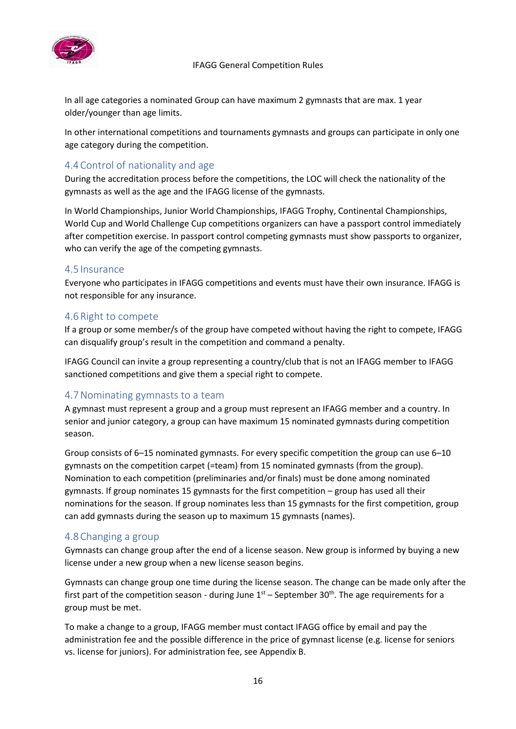

In all age categories a nominated Group can have maximum 2 gymnasts that are max. 1 year older/younger than age limits.

In other international competitions and tournaments gymnasts and groups can participate in only one age category during the competition.

# <span id="page-16-0"></span>4.4Control of nationality and age

During the accreditation process before the competitions, the LOC will check the nationality of the gymnasts as well as the age and the IFAGG license of the gymnasts.

In World Championships, Junior World Championships, IFAGG Trophy, Continental Championships, World Cup and World Challenge Cup competitions organizers can have a passport control immediately after competition exercise. In passport control competing gymnasts must show passports to organizer, who can verify the age of the competing gymnasts.

# <span id="page-16-1"></span>4.5 Insurance

Everyone who participates in IFAGG competitions and events must have their own insurance. IFAGG is not responsible for any insurance.

#### <span id="page-16-2"></span>4.6Right to compete

If a group or some member/s of the group have competed without having the right to compete, IFAGG can disqualify group's result in the competition and command a penalty.

IFAGG Council can invite a group representing a country/club that is not an IFAGG member to IFAGG sanctioned competitions and give them a special right to compete.

# <span id="page-16-3"></span>4.7Nominating gymnasts to a team

A gymnast must represent a group and a group must represent an IFAGG member and a country. In senior and junior category, a group can have maximum 15 nominated gymnasts during competition season.

Group consists of 6–15 nominated gymnasts. For every specific competition the group can use 6–10 gymnasts on the competition carpet (=team) from 15 nominated gymnasts (from the group). Nomination to each competition (preliminaries and/or finals) must be done among nominated gymnasts. If group nominates 15 gymnasts for the first competition – group has used all their nominations for the season. If group nominates less than 15 gymnasts for the first competition, group can add gymnasts during the season up to maximum 15 gymnasts (names).

# <span id="page-16-4"></span>4.8Changing a group

Gymnasts can change group after the end of a license season. New group is informed by buying a new license under a new group when a new license season begins.

Gymnasts can change group one time during the license season. The change can be made only after the first part of the competition season - during June  $1<sup>st</sup>$  – September 30<sup>th</sup>. The age requirements for a group must be met.

To make a change to a group, IFAGG member must contact IFAGG office by email and pay the administration fee and the possible difference in the price of gymnast license (e.g. license for seniors vs. license for juniors). For administration fee, see Appendix B.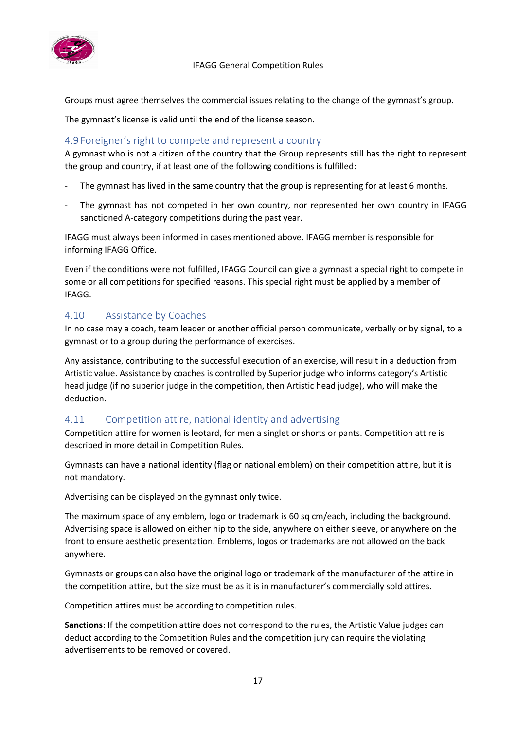

Groups must agree themselves the commercial issues relating to the change of the gymnast's group.

The gymnast's license is valid until the end of the license season.

#### <span id="page-17-0"></span>4.9 Foreigner's right to compete and represent a country

A gymnast who is not a citizen of the country that the Group represents still has the right to represent the group and country, if at least one of the following conditions is fulfilled:

- The gymnast has lived in the same country that the group is representing for at least 6 months.
- The gymnast has not competed in her own country, nor represented her own country in IFAGG sanctioned A-category competitions during the past year.

IFAGG must always been informed in cases mentioned above. IFAGG member is responsible for informing IFAGG Office.

Even if the conditions were not fulfilled, IFAGG Council can give a gymnast a special right to compete in some or all competitions for specified reasons. This special right must be applied by a member of IFAGG.

# <span id="page-17-1"></span>4.10 Assistance by Coaches

In no case may a coach, team leader or another official person communicate, verbally or by signal, to a gymnast or to a group during the performance of exercises.

Any assistance, contributing to the successful execution of an exercise, will result in a deduction from Artistic value. Assistance by coaches is controlled by Superior judge who informs category's Artistic head judge (if no superior judge in the competition, then Artistic head judge), who will make the deduction.

# <span id="page-17-2"></span>4.11 Competition attire, national identity and advertising

Competition attire for women is leotard, for men a singlet or shorts or pants. Competition attire is described in more detail in Competition Rules.

Gymnasts can have a national identity (flag or national emblem) on their competition attire, but it is not mandatory.

Advertising can be displayed on the gymnast only twice.

The maximum space of any emblem, logo or trademark is 60 sq cm/each, including the background. Advertising space is allowed on either hip to the side, anywhere on either sleeve, or anywhere on the front to ensure aesthetic presentation. Emblems, logos or trademarks are not allowed on the back anywhere.

Gymnasts or groups can also have the original logo or trademark of the manufacturer of the attire in the competition attire, but the size must be as it is in manufacturer's commercially sold attires.

Competition attires must be according to competition rules.

**Sanctions**: If the competition attire does not correspond to the rules, the Artistic Value judges can deduct according to the Competition Rules and the competition jury can require the violating advertisements to be removed or covered.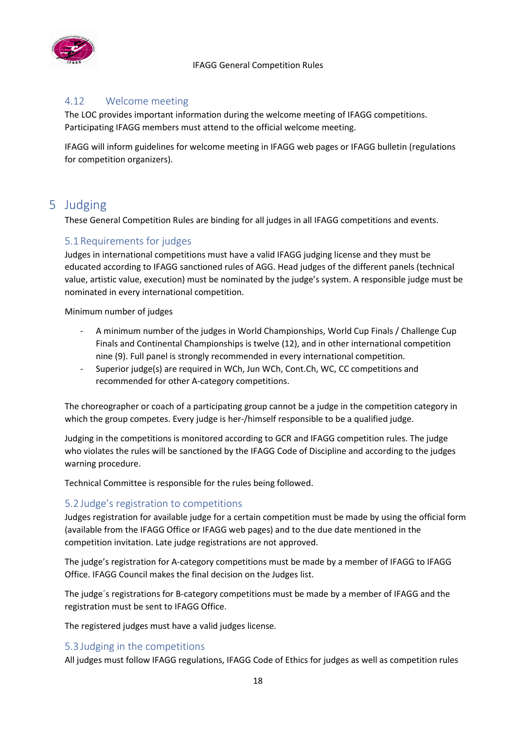

# <span id="page-18-0"></span>4.12 Welcome meeting

The LOC provides important information during the welcome meeting of IFAGG competitions. Participating IFAGG members must attend to the official welcome meeting.

IFAGG will inform guidelines for welcome meeting in IFAGG web pages or IFAGG bulletin (regulations for competition organizers).

# <span id="page-18-1"></span>5 Judging

These General Competition Rules are binding for all judges in all IFAGG competitions and events.

# <span id="page-18-2"></span>5.1Requirements for judges

Judges in international competitions must have a valid IFAGG judging license and they must be educated according to IFAGG sanctioned rules of AGG. Head judges of the different panels (technical value, artistic value, execution) must be nominated by the judge's system. A responsible judge must be nominated in every international competition.

Minimum number of judges

- A minimum number of the judges in World Championships, World Cup Finals / Challenge Cup Finals and Continental Championships is twelve (12), and in other international competition nine (9). Full panel is strongly recommended in every international competition.
- Superior judge(s) are required in WCh, Jun WCh, Cont.Ch, WC, CC competitions and recommended for other A-category competitions.

The choreographer or coach of a participating group cannot be a judge in the competition category in which the group competes. Every judge is her-/himself responsible to be a qualified judge.

Judging in the competitions is monitored according to GCR and IFAGG competition rules. The judge who violates the rules will be sanctioned by the IFAGG Code of Discipline and according to the judges warning procedure.

Technical Committee is responsible for the rules being followed.

# <span id="page-18-3"></span>5.2 Judge's registration to competitions

Judges registration for available judge for a certain competition must be made by using the official form (available from the IFAGG Office or IFAGG web pages) and to the due date mentioned in the competition invitation. Late judge registrations are not approved.

The judge's registration for A-category competitions must be made by a member of IFAGG to IFAGG Office. IFAGG Council makes the final decision on the Judges list.

The judge´s registrations for B-category competitions must be made by a member of IFAGG and the registration must be sent to IFAGG Office.

The registered judges must have a valid judges license.

# <span id="page-18-4"></span>5.3 Judging in the competitions

All judges must follow IFAGG regulations, IFAGG Code of Ethics for judges as well as competition rules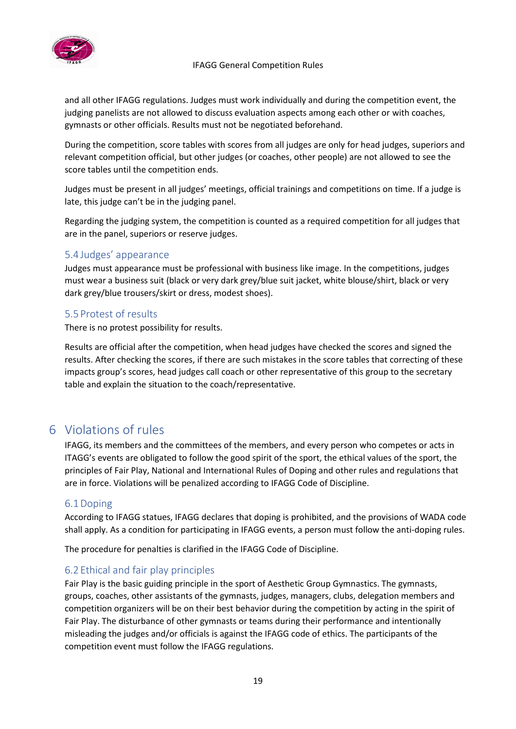

and all other IFAGG regulations. Judges must work individually and during the competition event, the judging panelists are not allowed to discuss evaluation aspects among each other or with coaches, gymnasts or other officials. Results must not be negotiated beforehand.

During the competition, score tables with scores from all judges are only for head judges, superiors and relevant competition official, but other judges (or coaches, other people) are not allowed to see the score tables until the competition ends.

Judges must be present in all judges' meetings, official trainings and competitions on time. If a judge is late, this judge can't be in the judging panel.

Regarding the judging system, the competition is counted as a required competition for all judges that are in the panel, superiors or reserve judges.

# <span id="page-19-0"></span>5.4 Judges' appearance

Judges must appearance must be professional with business like image. In the competitions, judges must wear a business suit (black or very dark grey/blue suit jacket, white blouse/shirt, black or very dark grey/blue trousers/skirt or dress, modest shoes).

# <span id="page-19-1"></span>5.5 Protest of results

There is no protest possibility for results.

Results are official after the competition, when head judges have checked the scores and signed the results. After checking the scores, if there are such mistakes in the score tables that correcting of these impacts group's scores, head judges call coach or other representative of this group to the secretary table and explain the situation to the coach/representative.

# <span id="page-19-2"></span>6 Violations of rules

IFAGG, its members and the committees of the members, and every person who competes or acts in ITAGG's events are obligated to follow the good spirit of the sport, the ethical values of the sport, the principles of Fair Play, National and International Rules of Doping and other rules and regulations that are in force. Violations will be penalized according to IFAGG Code of Discipline.

# <span id="page-19-3"></span>6.1Doping

According to IFAGG statues, IFAGG declares that doping is prohibited, and the provisions of WADA code shall apply. As a condition for participating in IFAGG events, a person must follow the anti-doping rules.

The procedure for penalties is clarified in the IFAGG Code of Discipline.

# <span id="page-19-4"></span>6.2 Ethical and fair play principles

Fair Play is the basic guiding principle in the sport of Aesthetic Group Gymnastics. The gymnasts, groups, coaches, other assistants of the gymnasts, judges, managers, clubs, delegation members and competition organizers will be on their best behavior during the competition by acting in the spirit of Fair Play. The disturbance of other gymnasts or teams during their performance and intentionally misleading the judges and/or officials is against the IFAGG code of ethics. The participants of the competition event must follow the IFAGG regulations.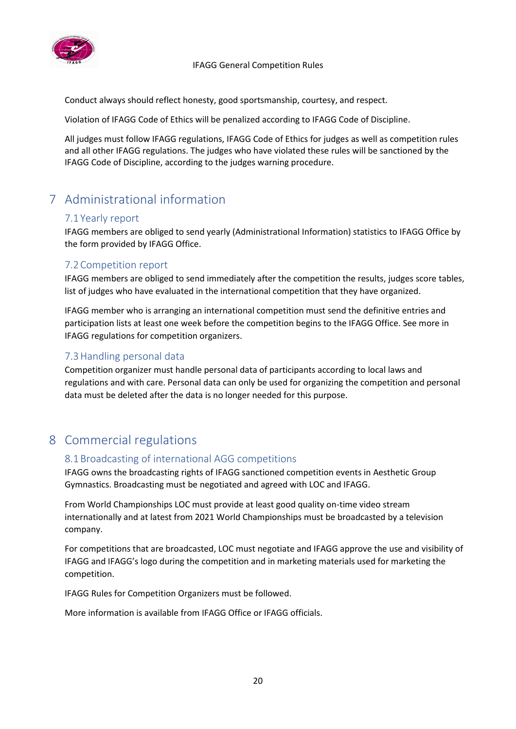

Conduct always should reflect honesty, good sportsmanship, courtesy, and respect.

Violation of IFAGG Code of Ethics will be penalized according to IFAGG Code of Discipline.

All judges must follow IFAGG regulations, IFAGG Code of Ethics for judges as well as competition rules and all other IFAGG regulations. The judges who have violated these rules will be sanctioned by the IFAGG Code of Discipline, according to the judges warning procedure.

# <span id="page-20-0"></span>7 Administrational information

# <span id="page-20-1"></span>7.1 Yearly report

IFAGG members are obliged to send yearly (Administrational Information) statistics to IFAGG Office by the form provided by IFAGG Office.

# <span id="page-20-2"></span>7.2Competition report

IFAGG members are obliged to send immediately after the competition the results, judges score tables, list of judges who have evaluated in the international competition that they have organized.

IFAGG member who is arranging an international competition must send the definitive entries and participation lists at least one week before the competition begins to the IFAGG Office. See more in IFAGG regulations for competition organizers.

# <span id="page-20-3"></span>7.3Handling personal data

Competition organizer must handle personal data of participants according to local laws and regulations and with care. Personal data can only be used for organizing the competition and personal data must be deleted after the data is no longer needed for this purpose.

# <span id="page-20-5"></span><span id="page-20-4"></span>8 Commercial regulations

# 8.1Broadcasting of international AGG competitions

IFAGG owns the broadcasting rights of IFAGG sanctioned competition events in Aesthetic Group Gymnastics. Broadcasting must be negotiated and agreed with LOC and IFAGG.

From World Championships LOC must provide at least good quality on-time video stream internationally and at latest from 2021 World Championships must be broadcasted by a television company.

For competitions that are broadcasted, LOC must negotiate and IFAGG approve the use and visibility of IFAGG and IFAGG's logo during the competition and in marketing materials used for marketing the competition.

IFAGG Rules for Competition Organizers must be followed.

More information is available from IFAGG Office or IFAGG officials.